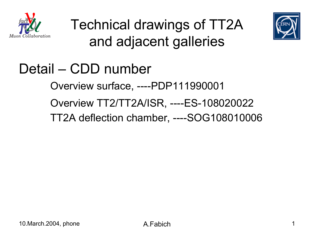





### Detail – CDD number

Overview surface, ----PDP111990001

Overview TT2/TT2A/ISR, ----ES-108020022

TT2A deflection chamber, ----SOG108010006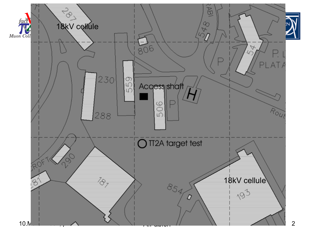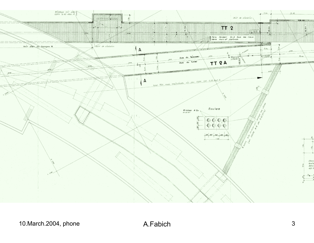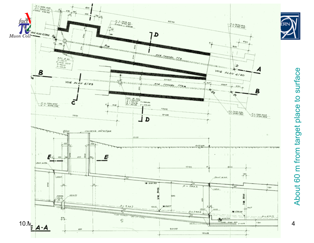

About 60 m from target place to surface About 60 m from target place to surface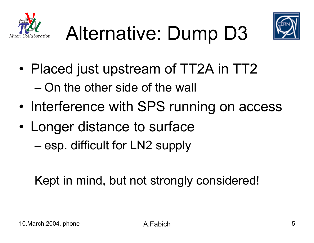





- • Placed just upstream of TT2A in TT2 – On the other side of the wall
- •Interference with SPS running on access
- • Longer distance to surface
	- esp. difficult for LN2 supply

Kept in mind, but not strongly considered!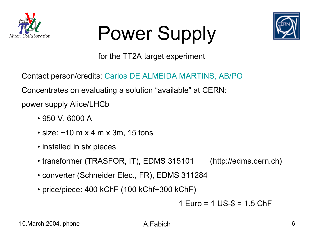

# Power Supply



for the TT2A target experiment

Contact person/credits: Carlos DE ALMEIDA MARTINS, AB/PO

Concentrates on evaluating a solution "available" at CERN:

power supply Alice/LHCb

- 950 V, 6000 A
- size: ~10 m x 4 m x 3m, 15 tons
- installed in six pieces
- transformer (TRASFOR, IT), EDMS 315101 (http://edms.cern.ch)
- converter (Schneider Elec., FR), EDMS 311284
- price/piece: 400 kChF (100 kChf+300 kChF)

1 Euro = 1 US-\$ = 1.5 ChF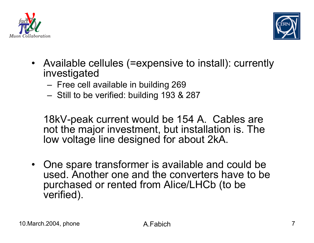



- Available cellules (=expensive to install): currently investigated
	- Free cell available in building 269
	- Still to be verified: building 193 & 287

18kV-peak current would be 154 A. Cables are not the major investment, but installation is. The low voltage line designed for about 2kA.

 $\bullet$  One spare transformer is available and could be used. Another one and the converters have to be purchased or rented from Alice/LHCb (to be verified).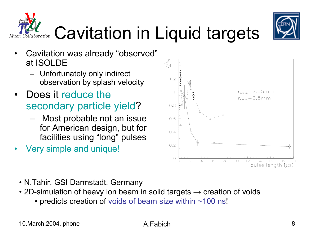

### • N.Tahir, GSI Darmstadt, Germany

- 2D-simulation of heavy ion beam in solid targets  $\rightarrow$  creation of voids
	- predicts creation of voids of beam size within ~100 ns!
- Very simple and unique!
- for American design, but for
- • Does it reduce the secondary particle yield?
	-

Unfortunately only indirect

 Most probable not an issue facilities using "long" pulses

Cavitation was already "observed"

observation by splash velocity

- 
- •







at ISOLDE

•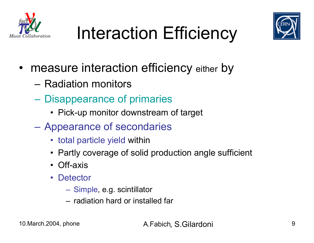





- measure interaction efficiency either by
	- Radiation monitors
	- $\mathcal{L}_{\mathcal{A}}$  , and the set of  $\mathcal{L}_{\mathcal{A}}$  Disappearance of primaries
		- Pick-up monitor downstream of target
	- $\mathcal{L}_{\mathcal{A}}$  Appearance of secondaries
		- total particle yield within
		- Partly coverage of solid production angle sufficient
		- Off-axis
		- Detector
			- Simple, e.g. scintillator
			- radiation hard or installed far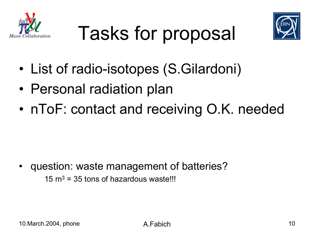





- •List of radio-isotopes (S.Gilardoni)
- •Personal radiation plan
- •nToF: contact and receiving O.K. needed

• question: waste management of batteries?

 $15 \text{ m}^3$  = 35 tons of hazardous waste!!!